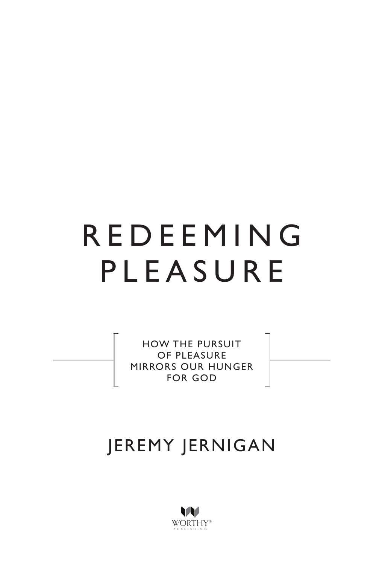

HOW THE PURSUIT OF PLEASURE MIRRORS OUR HUNGER FOR GOD



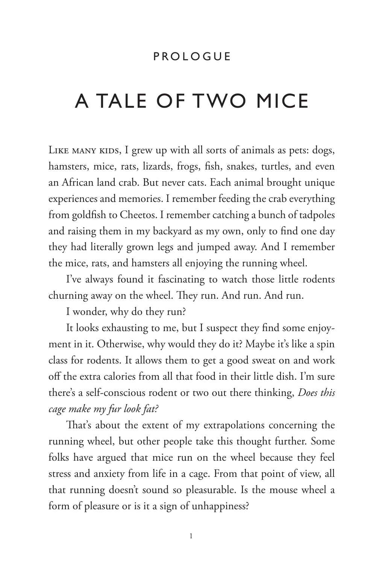## PROLOGUE

## A TALE OF TWO MICE

LIKE MANY KIDS, I grew up with all sorts of animals as pets: dogs, hamsters, mice, rats, lizards, frogs, fsh, snakes, turtles, and even an African land crab. But never cats. Each animal brought unique experiences and memories. I remember feeding the crab everything from goldfsh to Cheetos. I remember catching a bunch of tadpoles and raising them in my backyard as my own, only to fnd one day they had literally grown legs and jumped away. And I remember the mice, rats, and hamsters all enjoying the running wheel.

I've always found it fascinating to watch those little rodents churning away on the wheel. They run. And run. And run.

I wonder, why do they run?

It looks exhausting to me, but I suspect they fnd some enjoyment in it. Otherwise, why would they do it? Maybe it's like a spin class for rodents. It allows them to get a good sweat on and work of the extra calories from all that food in their little dish. I'm sure there's a self-conscious rodent or two out there thinking, *Does this cage make my fur look fat?*

That's about the extent of my extrapolations concerning the running wheel, but other people take this thought further. Some folks have argued that mice run on the wheel because they feel stress and anxiety from life in a cage. From that point of view, all that running doesn't sound so pleasurable. Is the mouse wheel a form of pleasure or is it a sign of unhappiness?